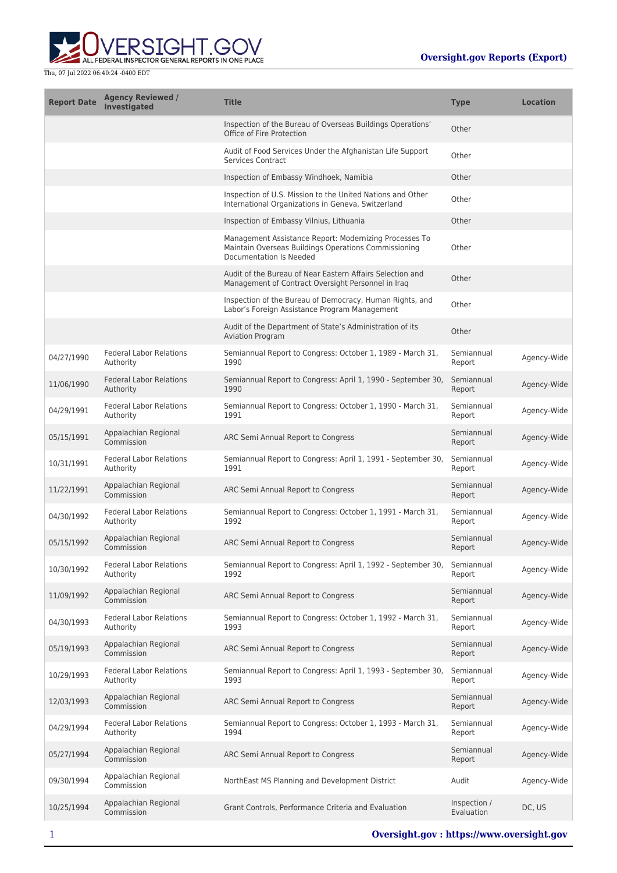

| <b>Report Date</b> | <b>Agency Reviewed /</b><br><b>Investigated</b> | <b>Title</b>                                                                                                                              | <b>Type</b>                | <b>Location</b> |
|--------------------|-------------------------------------------------|-------------------------------------------------------------------------------------------------------------------------------------------|----------------------------|-----------------|
|                    |                                                 | Inspection of the Bureau of Overseas Buildings Operations'<br>Office of Fire Protection                                                   | Other                      |                 |
|                    |                                                 | Audit of Food Services Under the Afghanistan Life Support<br><b>Services Contract</b>                                                     | Other                      |                 |
|                    |                                                 | Inspection of Embassy Windhoek, Namibia                                                                                                   | Other                      |                 |
|                    |                                                 | Inspection of U.S. Mission to the United Nations and Other<br>International Organizations in Geneva, Switzerland                          | Other                      |                 |
|                    |                                                 | Inspection of Embassy Vilnius, Lithuania                                                                                                  | Other                      |                 |
|                    |                                                 | Management Assistance Report: Modernizing Processes To<br>Maintain Overseas Buildings Operations Commissioning<br>Documentation Is Needed | Other                      |                 |
|                    |                                                 | Audit of the Bureau of Near Eastern Affairs Selection and<br>Management of Contract Oversight Personnel in Iraq                           | Other                      |                 |
|                    |                                                 | Inspection of the Bureau of Democracy, Human Rights, and<br>Labor's Foreign Assistance Program Management                                 | Other                      |                 |
|                    |                                                 | Audit of the Department of State's Administration of its<br><b>Aviation Program</b>                                                       | Other                      |                 |
| 04/27/1990         | <b>Federal Labor Relations</b><br>Authority     | Semiannual Report to Congress: October 1, 1989 - March 31,<br>1990                                                                        | Semiannual<br>Report       | Agency-Wide     |
| 11/06/1990         | <b>Federal Labor Relations</b><br>Authority     | Semiannual Report to Congress: April 1, 1990 - September 30,<br>1990                                                                      | Semiannual<br>Report       | Agency-Wide     |
| 04/29/1991         | <b>Federal Labor Relations</b><br>Authority     | Semiannual Report to Congress: October 1, 1990 - March 31,<br>1991                                                                        | Semiannual<br>Report       | Agency-Wide     |
| 05/15/1991         | Appalachian Regional<br>Commission              | ARC Semi Annual Report to Congress                                                                                                        | Semiannual<br>Report       | Agency-Wide     |
| 10/31/1991         | <b>Federal Labor Relations</b><br>Authority     | Semiannual Report to Congress: April 1, 1991 - September 30,<br>1991                                                                      | Semiannual<br>Report       | Agency-Wide     |
| 11/22/1991         | Appalachian Regional<br>Commission              | ARC Semi Annual Report to Congress                                                                                                        | Semiannual<br>Report       | Agency-Wide     |
| 04/30/1992         | <b>Federal Labor Relations</b><br>Authority     | Semiannual Report to Congress: October 1, 1991 - March 31,<br>1992                                                                        | Semiannual<br>Report       | Agency-Wide     |
| 05/15/1992         | Appalachian Regional<br>Commission              | ARC Semi Annual Report to Congress                                                                                                        | Semiannual<br>Report       | Agency-Wide     |
| 10/30/1992         | <b>Federal Labor Relations</b><br>Authority     | Semiannual Report to Congress: April 1, 1992 - September 30,<br>1992                                                                      | Semiannual<br>Report       | Agency-Wide     |
| 11/09/1992         | Appalachian Regional<br>Commission              | ARC Semi Annual Report to Congress                                                                                                        | Semiannual<br>Report       | Agency-Wide     |
| 04/30/1993         | <b>Federal Labor Relations</b><br>Authority     | Semiannual Report to Congress: October 1, 1992 - March 31,<br>1993                                                                        | Semiannual<br>Report       | Agency-Wide     |
| 05/19/1993         | Appalachian Regional<br>Commission              | ARC Semi Annual Report to Congress                                                                                                        | Semiannual<br>Report       | Agency-Wide     |
| 10/29/1993         | <b>Federal Labor Relations</b><br>Authority     | Semiannual Report to Congress: April 1, 1993 - September 30,<br>1993                                                                      | Semiannual<br>Report       | Agency-Wide     |
| 12/03/1993         | Appalachian Regional<br>Commission              | ARC Semi Annual Report to Congress                                                                                                        | Semiannual<br>Report       | Agency-Wide     |
| 04/29/1994         | <b>Federal Labor Relations</b><br>Authority     | Semiannual Report to Congress: October 1, 1993 - March 31,<br>1994                                                                        | Semiannual<br>Report       | Agency-Wide     |
| 05/27/1994         | Appalachian Regional<br>Commission              | ARC Semi Annual Report to Congress                                                                                                        | Semiannual<br>Report       | Agency-Wide     |
| 09/30/1994         | Appalachian Regional<br>Commission              | NorthEast MS Planning and Development District                                                                                            | Audit                      | Agency-Wide     |
| 10/25/1994         | Appalachian Regional<br>Commission              | Grant Controls, Performance Criteria and Evaluation                                                                                       | Inspection /<br>Evaluation | DC, US          |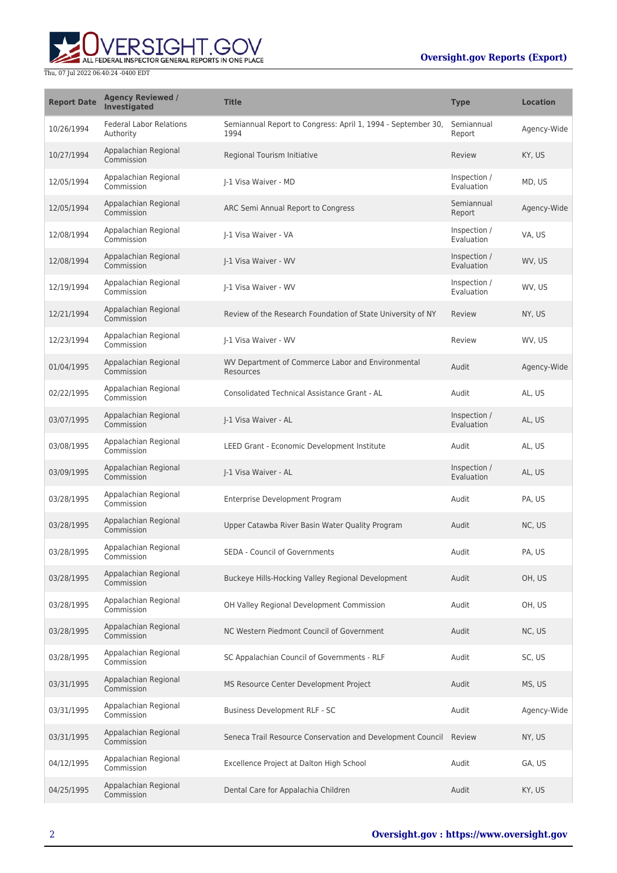## **Oversight.gov Reports (Export)**



| <b>Report Date</b> | <b>Agency Reviewed /</b><br><b>Investigated</b> | <b>Title</b>                                                         | <b>Type</b>                | <b>Location</b> |
|--------------------|-------------------------------------------------|----------------------------------------------------------------------|----------------------------|-----------------|
| 10/26/1994         | <b>Federal Labor Relations</b><br>Authority     | Semiannual Report to Congress: April 1, 1994 - September 30,<br>1994 | Semiannual<br>Report       | Agency-Wide     |
| 10/27/1994         | Appalachian Regional<br>Commission              | Regional Tourism Initiative                                          | Review                     | KY, US          |
| 12/05/1994         | Appalachian Regional<br>Commission              | I-1 Visa Waiver - MD                                                 | Inspection /<br>Evaluation | MD, US          |
| 12/05/1994         | Appalachian Regional<br>Commission              | ARC Semi Annual Report to Congress                                   | Semiannual<br>Report       | Agency-Wide     |
| 12/08/1994         | Appalachian Regional<br>Commission              | I-1 Visa Waiver - VA                                                 | Inspection /<br>Evaluation | VA, US          |
| 12/08/1994         | Appalachian Regional<br>Commission              | I-1 Visa Waiver - WV                                                 | Inspection /<br>Evaluation | WV, US          |
| 12/19/1994         | Appalachian Regional<br>Commission              | I-1 Visa Waiver - WV                                                 | Inspection /<br>Evaluation | WV, US          |
| 12/21/1994         | Appalachian Regional<br>Commission              | Review of the Research Foundation of State University of NY          | Review                     | NY, US          |
| 12/23/1994         | Appalachian Regional<br>Commission              | I-1 Visa Waiver - WV                                                 | Review                     | WV, US          |
| 01/04/1995         | Appalachian Regional<br>Commission              | WV Department of Commerce Labor and Environmental<br>Resources       | Audit                      | Agency-Wide     |
| 02/22/1995         | Appalachian Regional<br>Commission              | Consolidated Technical Assistance Grant - AL                         | Audit                      | AL, US          |
| 03/07/1995         | Appalachian Regional<br>Commission              | J-1 Visa Waiver - AL                                                 | Inspection /<br>Evaluation | AL, US          |
| 03/08/1995         | Appalachian Regional<br>Commission              | LEED Grant - Economic Development Institute                          | Audit                      | AL, US          |
| 03/09/1995         | Appalachian Regional<br>Commission              | J-1 Visa Waiver - AL                                                 | Inspection /<br>Evaluation | AL, US          |
| 03/28/1995         | Appalachian Regional<br>Commission              | Enterprise Development Program                                       | Audit                      | PA, US          |
| 03/28/1995         | Appalachian Regional<br>Commission              | Upper Catawba River Basin Water Quality Program                      | Audit                      | NC, US          |
| 03/28/1995         | Appalachian Regional<br>Commission              | SEDA - Council of Governments                                        | Audit                      | PA, US          |
| 03/28/1995         | Appalachian Regional<br>Commission              | Buckeye Hills-Hocking Valley Regional Development                    | Audit                      | OH, US          |
| 03/28/1995         | Appalachian Regional<br>Commission              | OH Valley Regional Development Commission                            | Audit                      | OH, US          |
| 03/28/1995         | Appalachian Regional<br>Commission              | NC Western Piedmont Council of Government                            | Audit                      | NC, US          |
| 03/28/1995         | Appalachian Regional<br>Commission              | SC Appalachian Council of Governments - RLF                          | Audit                      | SC, US          |
| 03/31/1995         | Appalachian Regional<br>Commission              | MS Resource Center Development Project                               | Audit                      | MS, US          |
| 03/31/1995         | Appalachian Regional<br>Commission              | Business Development RLF - SC                                        | Audit                      | Agency-Wide     |
| 03/31/1995         | Appalachian Regional<br>Commission              | Seneca Trail Resource Conservation and Development Council           | Review                     | NY, US          |
| 04/12/1995         | Appalachian Regional<br>Commission              | Excellence Project at Dalton High School                             | Audit                      | GA, US          |
| 04/25/1995         | Appalachian Regional<br>Commission              | Dental Care for Appalachia Children                                  | Audit                      | KY, US          |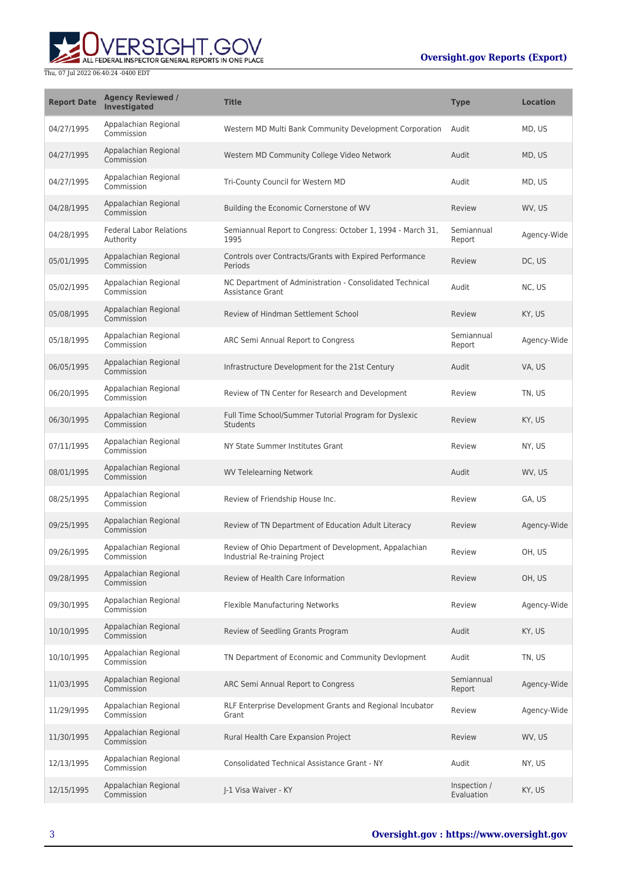## **Oversight.gov Reports (Export)**



| <b>Report Date</b> | <b>Agency Reviewed /</b><br>Investigated    | <b>Title</b>                                                                            | <b>Type</b>                | <b>Location</b> |
|--------------------|---------------------------------------------|-----------------------------------------------------------------------------------------|----------------------------|-----------------|
| 04/27/1995         | Appalachian Regional<br>Commission          | Western MD Multi Bank Community Development Corporation                                 | Audit                      | MD, US          |
| 04/27/1995         | Appalachian Regional<br>Commission          | Western MD Community College Video Network                                              | Audit                      | MD, US          |
| 04/27/1995         | Appalachian Regional<br>Commission          | Tri-County Council for Western MD                                                       | Audit                      | MD, US          |
| 04/28/1995         | Appalachian Regional<br>Commission          | Building the Economic Cornerstone of WV                                                 | Review                     | WV, US          |
| 04/28/1995         | <b>Federal Labor Relations</b><br>Authority | Semiannual Report to Congress: October 1, 1994 - March 31,<br>1995                      | Semiannual<br>Report       | Agency-Wide     |
| 05/01/1995         | Appalachian Regional<br>Commission          | Controls over Contracts/Grants with Expired Performance<br>Periods                      | Review                     | DC, US          |
| 05/02/1995         | Appalachian Regional<br>Commission          | NC Department of Administration - Consolidated Technical<br><b>Assistance Grant</b>     | Audit                      | NC, US          |
| 05/08/1995         | Appalachian Regional<br>Commission          | Review of Hindman Settlement School                                                     | Review                     | KY, US          |
| 05/18/1995         | Appalachian Regional<br>Commission          | ARC Semi Annual Report to Congress                                                      | Semiannual<br>Report       | Agency-Wide     |
| 06/05/1995         | Appalachian Regional<br>Commission          | Infrastructure Development for the 21st Century                                         | Audit                      | VA, US          |
| 06/20/1995         | Appalachian Regional<br>Commission          | Review of TN Center for Research and Development                                        | Review                     | TN, US          |
| 06/30/1995         | Appalachian Regional<br>Commission          | Full Time School/Summer Tutorial Program for Dyslexic<br><b>Students</b>                | Review                     | KY, US          |
| 07/11/1995         | Appalachian Regional<br>Commission          | NY State Summer Institutes Grant                                                        | Review                     | NY, US          |
| 08/01/1995         | Appalachian Regional<br>Commission          | <b>WV Telelearning Network</b>                                                          | Audit                      | WV, US          |
| 08/25/1995         | Appalachian Regional<br>Commission          | Review of Friendship House Inc.                                                         | Review                     | GA, US          |
| 09/25/1995         | Appalachian Regional<br>Commission          | Review of TN Department of Education Adult Literacy                                     | Review                     | Agency-Wide     |
| 09/26/1995         | Appalachian Regional<br>Commission          | Review of Ohio Department of Development, Appalachian<br>Industrial Re-training Project | Review                     | OH, US          |
| 09/28/1995         | Appalachian Regional<br>Commission          | Review of Health Care Information                                                       | Review                     | OH, US          |
| 09/30/1995         | Appalachian Regional<br>Commission          | Flexible Manufacturing Networks                                                         | Review                     | Agency-Wide     |
| 10/10/1995         | Appalachian Regional<br>Commission          | Review of Seedling Grants Program                                                       | Audit                      | KY, US          |
| 10/10/1995         | Appalachian Regional<br>Commission          | TN Department of Economic and Community Devlopment                                      | Audit                      | TN, US          |
| 11/03/1995         | Appalachian Regional<br>Commission          | ARC Semi Annual Report to Congress                                                      | Semiannual<br>Report       | Agency-Wide     |
| 11/29/1995         | Appalachian Regional<br>Commission          | RLF Enterprise Development Grants and Regional Incubator<br>Grant                       | Review                     | Agency-Wide     |
| 11/30/1995         | Appalachian Regional<br>Commission          | Rural Health Care Expansion Project                                                     | Review                     | WV, US          |
| 12/13/1995         | Appalachian Regional<br>Commission          | <b>Consolidated Technical Assistance Grant - NY</b>                                     | Audit                      | NY, US          |
| 12/15/1995         | Appalachian Regional<br>Commission          | J-1 Visa Waiver - KY                                                                    | Inspection /<br>Evaluation | KY, US          |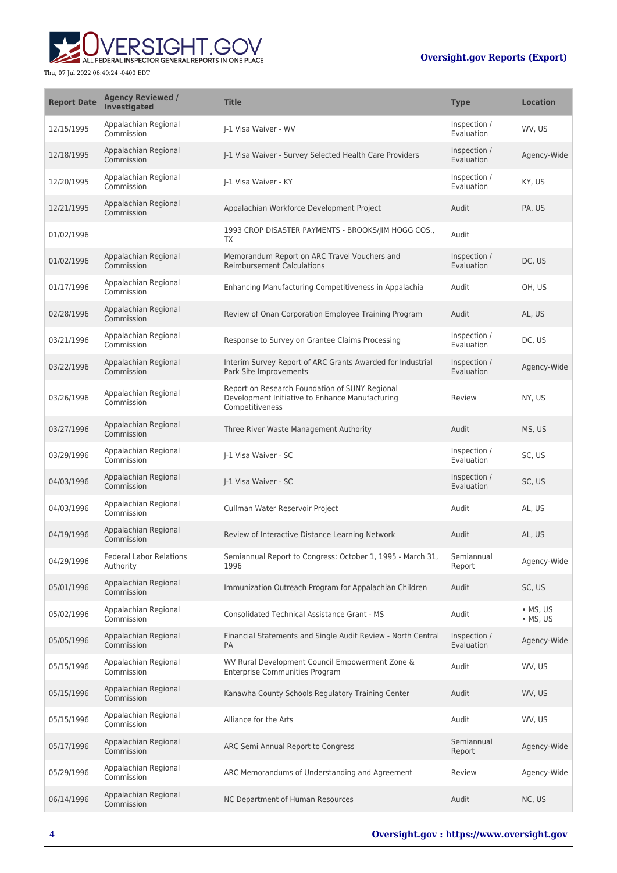

| <b>Report Date</b> | <b>Agency Reviewed /</b><br><b>Investigated</b> | <b>Title</b>                                                                                                         | <b>Type</b>                | <b>Location</b>                    |
|--------------------|-------------------------------------------------|----------------------------------------------------------------------------------------------------------------------|----------------------------|------------------------------------|
| 12/15/1995         | Appalachian Regional<br>Commission              | I-1 Visa Waiver - WV                                                                                                 | Inspection /<br>Evaluation | WV, US                             |
| 12/18/1995         | Appalachian Regional<br>Commission              | I-1 Visa Waiver - Survey Selected Health Care Providers                                                              | Inspection /<br>Evaluation | Agency-Wide                        |
| 12/20/1995         | Appalachian Regional<br>Commission              | I-1 Visa Waiver - KY                                                                                                 | Inspection /<br>Evaluation | KY, US                             |
| 12/21/1995         | Appalachian Regional<br>Commission              | Appalachian Workforce Development Project                                                                            | Audit                      | PA, US                             |
| 01/02/1996         |                                                 | 1993 CROP DISASTER PAYMENTS - BROOKS/JIM HOGG COS.,<br>TX                                                            | Audit                      |                                    |
| 01/02/1996         | Appalachian Regional<br>Commission              | Memorandum Report on ARC Travel Vouchers and<br><b>Reimbursement Calculations</b>                                    | Inspection /<br>Evaluation | DC, US                             |
| 01/17/1996         | Appalachian Regional<br>Commission              | Enhancing Manufacturing Competitiveness in Appalachia                                                                | Audit                      | OH, US                             |
| 02/28/1996         | Appalachian Regional<br>Commission              | Review of Onan Corporation Employee Training Program                                                                 | Audit                      | AL, US                             |
| 03/21/1996         | Appalachian Regional<br>Commission              | Response to Survey on Grantee Claims Processing                                                                      | Inspection /<br>Evaluation | DC, US                             |
| 03/22/1996         | Appalachian Regional<br>Commission              | Interim Survey Report of ARC Grants Awarded for Industrial<br>Park Site Improvements                                 | Inspection /<br>Evaluation | Agency-Wide                        |
| 03/26/1996         | Appalachian Regional<br>Commission              | Report on Research Foundation of SUNY Regional<br>Development Initiative to Enhance Manufacturing<br>Competitiveness | Review                     | NY, US                             |
| 03/27/1996         | Appalachian Regional<br>Commission              | Three River Waste Management Authority                                                                               | Audit                      | MS, US                             |
| 03/29/1996         | Appalachian Regional<br>Commission              | I-1 Visa Waiver - SC                                                                                                 | Inspection /<br>Evaluation | SC, US                             |
| 04/03/1996         | Appalachian Regional<br>Commission              | J-1 Visa Waiver - SC                                                                                                 | Inspection /<br>Evaluation | SC, US                             |
| 04/03/1996         | Appalachian Regional<br>Commission              | Cullman Water Reservoir Project                                                                                      | Audit                      | AL, US                             |
| 04/19/1996         | Appalachian Regional<br>Commission              | Review of Interactive Distance Learning Network                                                                      | Audit                      | AL, US                             |
| 04/29/1996         | <b>Federal Labor Relations</b><br>Authority     | Semiannual Report to Congress: October 1, 1995 - March 31,<br>1996                                                   | Semiannual<br>Report       | Agency-Wide                        |
| 05/01/1996         | Appalachian Regional<br>Commission              | Immunization Outreach Program for Appalachian Children                                                               | Audit                      | SC, US                             |
| 05/02/1996         | Appalachian Regional<br>Commission              | <b>Consolidated Technical Assistance Grant - MS</b>                                                                  | Audit                      | $\bullet$ MS, US<br>$\cdot$ MS, US |
| 05/05/1996         | Appalachian Regional<br>Commission              | Financial Statements and Single Audit Review - North Central<br><b>PA</b>                                            | Inspection /<br>Evaluation | Agency-Wide                        |
| 05/15/1996         | Appalachian Regional<br>Commission              | WV Rural Development Council Empowerment Zone &<br><b>Enterprise Communities Program</b>                             | Audit                      | WV, US                             |
| 05/15/1996         | Appalachian Regional<br>Commission              | Kanawha County Schools Regulatory Training Center                                                                    | Audit                      | WV, US                             |
| 05/15/1996         | Appalachian Regional<br>Commission              | Alliance for the Arts                                                                                                | Audit                      | WV, US                             |
| 05/17/1996         | Appalachian Regional<br>Commission              | ARC Semi Annual Report to Congress                                                                                   | Semiannual<br>Report       | Agency-Wide                        |
| 05/29/1996         | Appalachian Regional<br>Commission              | ARC Memorandums of Understanding and Agreement                                                                       | Review                     | Agency-Wide                        |
| 06/14/1996         | Appalachian Regional<br>Commission              | NC Department of Human Resources                                                                                     | Audit                      | NC, US                             |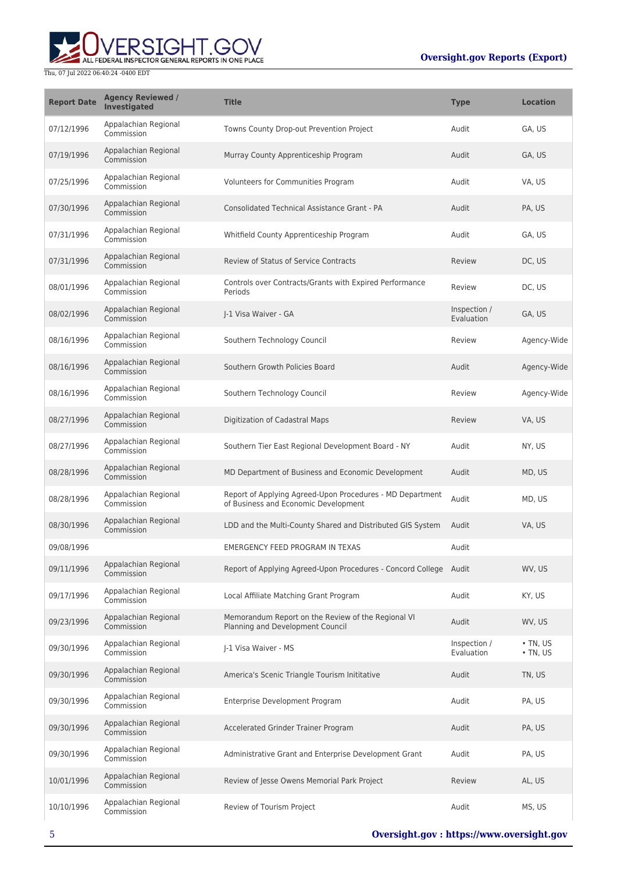

| <b>Report Date</b> | <b>Agency Reviewed /</b><br>Investigated | <b>Title</b>                                                                                      | <b>Type</b>                | <b>Location</b>                  |
|--------------------|------------------------------------------|---------------------------------------------------------------------------------------------------|----------------------------|----------------------------------|
| 07/12/1996         | Appalachian Regional<br>Commission       | Towns County Drop-out Prevention Project                                                          | Audit                      | GA, US                           |
| 07/19/1996         | Appalachian Regional<br>Commission       | Murray County Apprenticeship Program                                                              | Audit                      | GA, US                           |
| 07/25/1996         | Appalachian Regional<br>Commission       | Volunteers for Communities Program                                                                | Audit                      | VA, US                           |
| 07/30/1996         | Appalachian Regional<br>Commission       | Consolidated Technical Assistance Grant - PA                                                      | Audit                      | PA, US                           |
| 07/31/1996         | Appalachian Regional<br>Commission       | Whitfield County Apprenticeship Program                                                           | Audit                      | GA, US                           |
| 07/31/1996         | Appalachian Regional<br>Commission       | Review of Status of Service Contracts                                                             | Review                     | DC, US                           |
| 08/01/1996         | Appalachian Regional<br>Commission       | Controls over Contracts/Grants with Expired Performance<br>Periods                                | Review                     | DC, US                           |
| 08/02/1996         | Appalachian Regional<br>Commission       | I-1 Visa Waiver - GA                                                                              | Inspection /<br>Evaluation | GA, US                           |
| 08/16/1996         | Appalachian Regional<br>Commission       | Southern Technology Council                                                                       | Review                     | Agency-Wide                      |
| 08/16/1996         | Appalachian Regional<br>Commission       | Southern Growth Policies Board                                                                    | Audit                      | Agency-Wide                      |
| 08/16/1996         | Appalachian Regional<br>Commission       | Southern Technology Council                                                                       | Review                     | Agency-Wide                      |
| 08/27/1996         | Appalachian Regional<br>Commission       | Digitization of Cadastral Maps                                                                    | Review                     | VA, US                           |
| 08/27/1996         | Appalachian Regional<br>Commission       | Southern Tier East Regional Development Board - NY                                                | Audit                      | NY, US                           |
| 08/28/1996         | Appalachian Regional<br>Commission       | MD Department of Business and Economic Development                                                | Audit                      | MD, US                           |
| 08/28/1996         | Appalachian Regional<br>Commission       | Report of Applying Agreed-Upon Procedures - MD Department<br>of Business and Economic Development | Audit                      | MD, US                           |
| 08/30/1996         | Appalachian Regional<br>Commission       | LDD and the Multi-County Shared and Distributed GIS System                                        | Audit                      | VA, US                           |
| 09/08/1996         |                                          | <b>EMERGENCY FEED PROGRAM IN TEXAS</b>                                                            | Audit                      |                                  |
| 09/11/1996         | Appalachian Regional<br>Commission       | Report of Applying Agreed-Upon Procedures - Concord College Audit                                 |                            | WV, US                           |
| 09/17/1996         | Appalachian Regional<br>Commission       | Local Affiliate Matching Grant Program                                                            | Audit                      | KY, US                           |
| 09/23/1996         | Appalachian Regional<br>Commission       | Memorandum Report on the Review of the Regional VI<br>Planning and Development Council            | Audit                      | WV, US                           |
| 09/30/1996         | Appalachian Regional<br>Commission       | J-1 Visa Waiver - MS                                                                              | Inspection /<br>Evaluation | $\cdot$ TN, US<br>$\cdot$ TN, US |
| 09/30/1996         | Appalachian Regional<br>Commission       | America's Scenic Triangle Tourism Inititative                                                     | Audit                      | TN, US                           |
| 09/30/1996         | Appalachian Regional<br>Commission       | Enterprise Development Program                                                                    | Audit                      | PA, US                           |
| 09/30/1996         | Appalachian Regional<br>Commission       | Accelerated Grinder Trainer Program                                                               | Audit                      | PA, US                           |
| 09/30/1996         | Appalachian Regional<br>Commission       | Administrative Grant and Enterprise Development Grant                                             | Audit                      | PA, US                           |
| 10/01/1996         | Appalachian Regional<br>Commission       | Review of Jesse Owens Memorial Park Project                                                       | Review                     | AL, US                           |
| 10/10/1996         | Appalachian Regional<br>Commission       | Review of Tourism Project                                                                         | Audit                      | MS, US                           |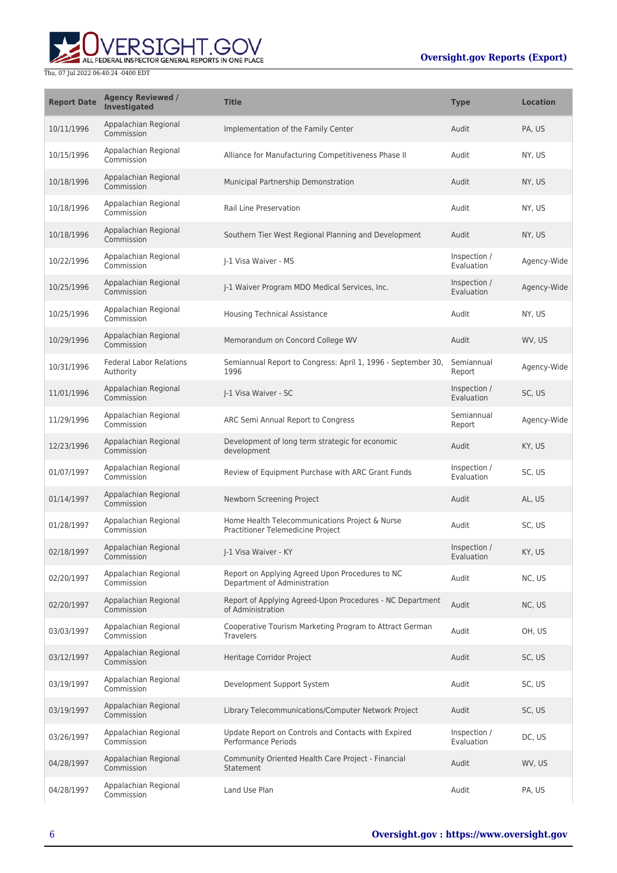

| <b>Report Date</b> | <b>Agency Reviewed /</b><br><b>Investigated</b> | <b>Title</b>                                                                        | <b>Type</b>                | <b>Location</b> |
|--------------------|-------------------------------------------------|-------------------------------------------------------------------------------------|----------------------------|-----------------|
| 10/11/1996         | Appalachian Regional<br>Commission              | Implementation of the Family Center                                                 | Audit                      | PA, US          |
| 10/15/1996         | Appalachian Regional<br>Commission              | Alliance for Manufacturing Competitiveness Phase II                                 | Audit                      | NY, US          |
| 10/18/1996         | Appalachian Regional<br>Commission              | Municipal Partnership Demonstration                                                 | Audit                      | NY, US          |
| 10/18/1996         | Appalachian Regional<br>Commission              | Rail Line Preservation                                                              | Audit                      | NY, US          |
| 10/18/1996         | Appalachian Regional<br>Commission              | Southern Tier West Regional Planning and Development                                | Audit                      | NY, US          |
| 10/22/1996         | Appalachian Regional<br>Commission              | I-1 Visa Waiver - MS                                                                | Inspection /<br>Evaluation | Agency-Wide     |
| 10/25/1996         | Appalachian Regional<br>Commission              | J-1 Waiver Program MDO Medical Services, Inc.                                       | Inspection /<br>Evaluation | Agency-Wide     |
| 10/25/1996         | Appalachian Regional<br>Commission              | <b>Housing Technical Assistance</b>                                                 | Audit                      | NY, US          |
| 10/29/1996         | Appalachian Regional<br>Commission              | Memorandum on Concord College WV                                                    | Audit                      | WV, US          |
| 10/31/1996         | <b>Federal Labor Relations</b><br>Authority     | Semiannual Report to Congress: April 1, 1996 - September 30,<br>1996                | Semiannual<br>Report       | Agency-Wide     |
| 11/01/1996         | Appalachian Regional<br>Commission              | J-1 Visa Waiver - SC                                                                | Inspection /<br>Evaluation | SC, US          |
| 11/29/1996         | Appalachian Regional<br>Commission              | ARC Semi Annual Report to Congress                                                  | Semiannual<br>Report       | Agency-Wide     |
| 12/23/1996         | Appalachian Regional<br>Commission              | Development of long term strategic for economic<br>development                      | Audit                      | KY, US          |
| 01/07/1997         | Appalachian Regional<br>Commission              | Review of Equipment Purchase with ARC Grant Funds                                   | Inspection /<br>Evaluation | SC, US          |
| 01/14/1997         | Appalachian Regional<br>Commission              | Newborn Screening Project                                                           | Audit                      | AL, US          |
| 01/28/1997         | Appalachian Regional<br>Commission              | Home Health Telecommunications Project & Nurse<br>Practitioner Telemedicine Project | Audit                      | SC, US          |
| 02/18/1997         | Appalachian Regional<br>Commission              | J-1 Visa Waiver - KY                                                                | Inspection /<br>Evaluation | KY, US          |
| 02/20/1997         | Appalachian Regional<br>Commission              | Report on Applying Agreed Upon Procedures to NC<br>Department of Administration     | Audit                      | NC, US          |
| 02/20/1997         | Appalachian Regional<br>Commission              | Report of Applying Agreed-Upon Procedures - NC Department<br>of Administration      | Audit                      | NC, US          |
| 03/03/1997         | Appalachian Regional<br>Commission              | Cooperative Tourism Marketing Program to Attract German<br><b>Travelers</b>         | Audit                      | OH, US          |
| 03/12/1997         | Appalachian Regional<br>Commission              | Heritage Corridor Project                                                           | Audit                      | SC, US          |
| 03/19/1997         | Appalachian Regional<br>Commission              | Development Support System                                                          | Audit                      | SC, US          |
| 03/19/1997         | Appalachian Regional<br>Commission              | Library Telecommunications/Computer Network Project                                 | Audit                      | SC, US          |
| 03/26/1997         | Appalachian Regional<br>Commission              | Update Report on Controls and Contacts with Expired<br>Performance Periods          | Inspection /<br>Evaluation | DC, US          |
| 04/28/1997         | Appalachian Regional<br>Commission              | Community Oriented Health Care Project - Financial<br>Statement                     | Audit                      | WV, US          |
| 04/28/1997         | Appalachian Regional<br>Commission              | Land Use Plan                                                                       | Audit                      | PA, US          |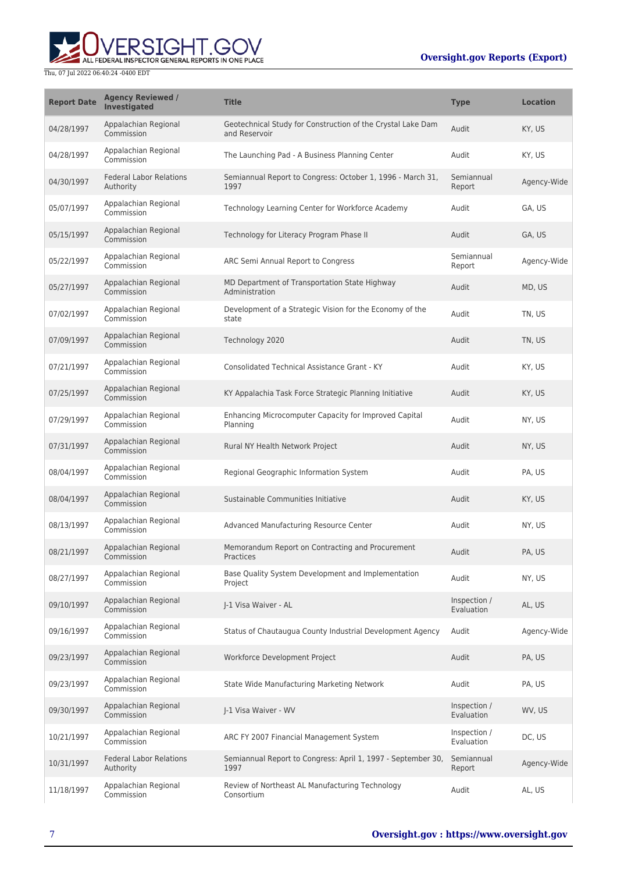# ALL FEDERAL INSPECTOR GENERAL REPORTS IN ONE PLACE Thu, 07 Jul 2022 06:40:24 -0400 EDT

| <b>Report Date</b> | <b>Agency Reviewed /</b><br><b>Investigated</b> | <b>Title</b>                                                                 | <b>Type</b>                | <b>Location</b> |
|--------------------|-------------------------------------------------|------------------------------------------------------------------------------|----------------------------|-----------------|
| 04/28/1997         | Appalachian Regional<br>Commission              | Geotechnical Study for Construction of the Crystal Lake Dam<br>and Reservoir | Audit                      | KY, US          |
| 04/28/1997         | Appalachian Regional<br>Commission              | The Launching Pad - A Business Planning Center                               | Audit                      | KY, US          |
| 04/30/1997         | <b>Federal Labor Relations</b><br>Authority     | Semiannual Report to Congress: October 1, 1996 - March 31,<br>1997           | Semiannual<br>Report       | Agency-Wide     |
| 05/07/1997         | Appalachian Regional<br>Commission              | Technology Learning Center for Workforce Academy                             | Audit                      | GA, US          |
| 05/15/1997         | Appalachian Regional<br>Commission              | Technology for Literacy Program Phase II                                     | Audit                      | GA, US          |
| 05/22/1997         | Appalachian Regional<br>Commission              | ARC Semi Annual Report to Congress                                           | Semiannual<br>Report       | Agency-Wide     |
| 05/27/1997         | Appalachian Regional<br>Commission              | MD Department of Transportation State Highway<br>Administration              | Audit                      | MD, US          |
| 07/02/1997         | Appalachian Regional<br>Commission              | Development of a Strategic Vision for the Economy of the<br>state            | Audit                      | TN, US          |
| 07/09/1997         | Appalachian Regional<br>Commission              | Technology 2020                                                              | Audit                      | TN, US          |
| 07/21/1997         | Appalachian Regional<br>Commission              | Consolidated Technical Assistance Grant - KY                                 | Audit                      | KY, US          |
| 07/25/1997         | Appalachian Regional<br>Commission              | KY Appalachia Task Force Strategic Planning Initiative                       | Audit                      | KY, US          |
| 07/29/1997         | Appalachian Regional<br>Commission              | Enhancing Microcomputer Capacity for Improved Capital<br>Planning            | Audit                      | NY, US          |
| 07/31/1997         | Appalachian Regional<br>Commission              | Rural NY Health Network Project                                              | Audit                      | NY, US          |
| 08/04/1997         | Appalachian Regional<br>Commission              | Regional Geographic Information System                                       | Audit                      | PA, US          |
| 08/04/1997         | Appalachian Regional<br>Commission              | Sustainable Communities Initiative                                           | Audit                      | KY, US          |
| 08/13/1997         | Appalachian Regional<br>Commission              | Advanced Manufacturing Resource Center                                       | Audit                      | NY, US          |
| 08/21/1997         | Appalachian Regional<br>Commission              | Memorandum Report on Contracting and Procurement<br>Practices                | Audit                      | PA, US          |
| 08/27/1997         | Appalachian Regional<br>Commission              | Base Quality System Development and Implementation<br>Project                | Audit                      | NY, US          |
| 09/10/1997         | Appalachian Regional<br>Commission              | J-1 Visa Waiver - AL                                                         | Inspection /<br>Evaluation | AL, US          |
| 09/16/1997         | Appalachian Regional<br>Commission              | Status of Chautaugua County Industrial Development Agency                    | Audit                      | Agency-Wide     |
| 09/23/1997         | Appalachian Regional<br>Commission              | Workforce Development Project                                                | Audit                      | PA, US          |
| 09/23/1997         | Appalachian Regional<br>Commission              | State Wide Manufacturing Marketing Network                                   | Audit                      | PA, US          |
| 09/30/1997         | Appalachian Regional<br>Commission              | J-1 Visa Waiver - WV                                                         | Inspection /<br>Evaluation | WV, US          |
| 10/21/1997         | Appalachian Regional<br>Commission              | ARC FY 2007 Financial Management System                                      | Inspection /<br>Evaluation | DC, US          |
| 10/31/1997         | <b>Federal Labor Relations</b><br>Authority     | Semiannual Report to Congress: April 1, 1997 - September 30,<br>1997         | Semiannual<br>Report       | Agency-Wide     |
| 11/18/1997         | Appalachian Regional<br>Commission              | Review of Northeast AL Manufacturing Technology<br>Consortium                | Audit                      | AL, US          |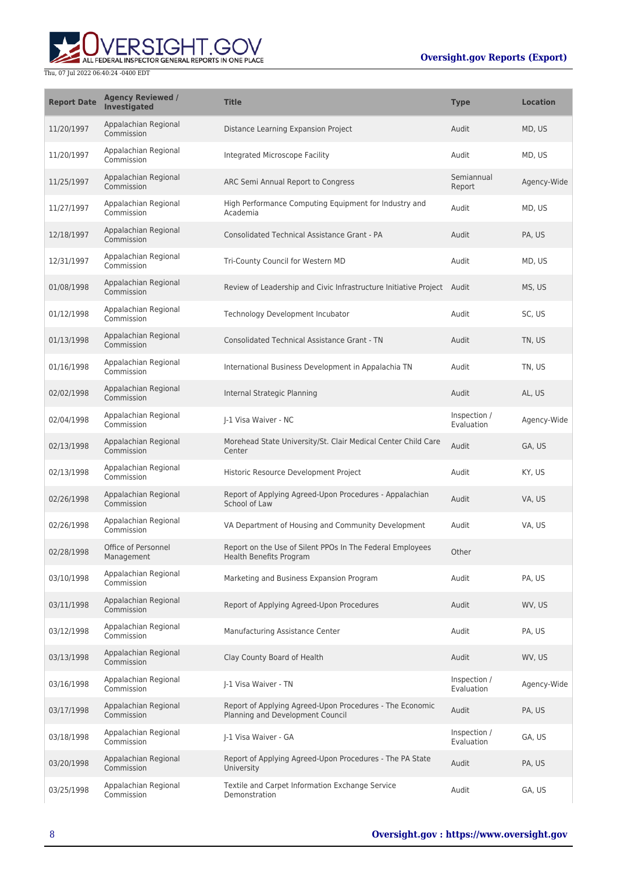

| <b>Report Date</b> | <b>Agency Reviewed /</b><br>Investigated | <b>Title</b>                                                                                 | <b>Type</b>                | <b>Location</b> |
|--------------------|------------------------------------------|----------------------------------------------------------------------------------------------|----------------------------|-----------------|
| 11/20/1997         | Appalachian Regional<br>Commission       | Distance Learning Expansion Project                                                          | Audit                      | MD, US          |
| 11/20/1997         | Appalachian Regional<br>Commission       | Integrated Microscope Facility                                                               | Audit                      | MD, US          |
| 11/25/1997         | Appalachian Regional<br>Commission       | ARC Semi Annual Report to Congress                                                           | Semiannual<br>Report       | Agency-Wide     |
| 11/27/1997         | Appalachian Regional<br>Commission       | High Performance Computing Equipment for Industry and<br>Academia                            | Audit                      | MD, US          |
| 12/18/1997         | Appalachian Regional<br>Commission       | <b>Consolidated Technical Assistance Grant - PA</b>                                          | Audit                      | PA, US          |
| 12/31/1997         | Appalachian Regional<br>Commission       | Tri-County Council for Western MD                                                            | Audit                      | MD, US          |
| 01/08/1998         | Appalachian Regional<br>Commission       | Review of Leadership and Civic Infrastructure Initiative Project Audit                       |                            | MS, US          |
| 01/12/1998         | Appalachian Regional<br>Commission       | Technology Development Incubator                                                             | Audit                      | SC, US          |
| 01/13/1998         | Appalachian Regional<br>Commission       | <b>Consolidated Technical Assistance Grant - TN</b>                                          | Audit                      | TN, US          |
| 01/16/1998         | Appalachian Regional<br>Commission       | International Business Development in Appalachia TN                                          | Audit                      | TN, US          |
| 02/02/1998         | Appalachian Regional<br>Commission       | Internal Strategic Planning                                                                  | Audit                      | AL, US          |
| 02/04/1998         | Appalachian Regional<br>Commission       | J-1 Visa Waiver - NC                                                                         | Inspection /<br>Evaluation | Agency-Wide     |
| 02/13/1998         | Appalachian Regional<br>Commission       | Morehead State University/St. Clair Medical Center Child Care<br>Center                      | Audit                      | GA, US          |
| 02/13/1998         | Appalachian Regional<br>Commission       | Historic Resource Development Project                                                        | Audit                      | KY, US          |
| 02/26/1998         | Appalachian Regional<br>Commission       | Report of Applying Agreed-Upon Procedures - Appalachian<br>School of Law                     | Audit                      | VA, US          |
| 02/26/1998         | Appalachian Regional<br>Commission       | VA Department of Housing and Community Development                                           | Audit                      | VA, US          |
| 02/28/1998         | Office of Personnel<br>Management        | Report on the Use of Silent PPOs In The Federal Employees<br>Health Benefits Program         | Other                      |                 |
| 03/10/1998         | Appalachian Regional<br>Commission       | Marketing and Business Expansion Program                                                     | Audit                      | PA, US          |
| 03/11/1998         | Appalachian Regional<br>Commission       | Report of Applying Agreed-Upon Procedures                                                    | Audit                      | WV, US          |
| 03/12/1998         | Appalachian Regional<br>Commission       | Manufacturing Assistance Center                                                              | Audit                      | PA, US          |
| 03/13/1998         | Appalachian Regional<br>Commission       | Clay County Board of Health                                                                  | Audit                      | WV, US          |
| 03/16/1998         | Appalachian Regional<br>Commission       | J-1 Visa Waiver - TN                                                                         | Inspection /<br>Evaluation | Agency-Wide     |
| 03/17/1998         | Appalachian Regional<br>Commission       | Report of Applying Agreed-Upon Procedures - The Economic<br>Planning and Development Council | Audit                      | PA, US          |
| 03/18/1998         | Appalachian Regional<br>Commission       | J-1 Visa Waiver - GA                                                                         | Inspection /<br>Evaluation | GA, US          |
| 03/20/1998         | Appalachian Regional<br>Commission       | Report of Applying Agreed-Upon Procedures - The PA State<br>University                       | Audit                      | PA, US          |
| 03/25/1998         | Appalachian Regional<br>Commission       | Textile and Carpet Information Exchange Service<br>Demonstration                             | Audit                      | GA, US          |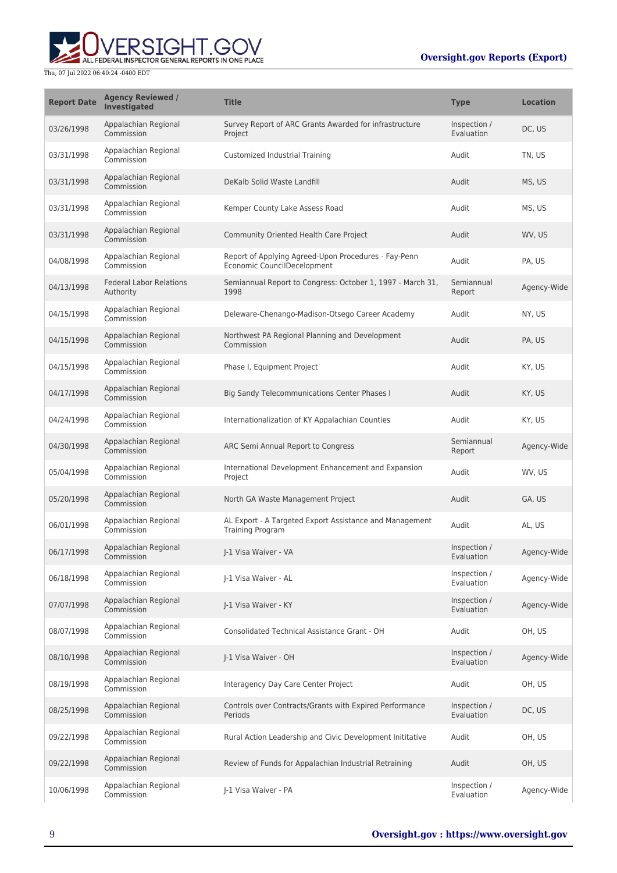

| <b>Report Date</b> | <b>Agency Reviewed /</b><br><b>Investigated</b> | <b>Title</b>                                                                        | <b>Type</b>                | <b>Location</b> |
|--------------------|-------------------------------------------------|-------------------------------------------------------------------------------------|----------------------------|-----------------|
| 03/26/1998         | Appalachian Regional<br>Commission              | Survey Report of ARC Grants Awarded for infrastructure<br>Project                   | Inspection /<br>Evaluation | DC, US          |
| 03/31/1998         | Appalachian Regional<br>Commission              | Customized Industrial Training                                                      | Audit                      | TN, US          |
| 03/31/1998         | Appalachian Regional<br>Commission              | DeKalb Solid Waste Landfill                                                         | Audit                      | MS, US          |
| 03/31/1998         | Appalachian Regional<br>Commission              | Kemper County Lake Assess Road                                                      | Audit                      | MS, US          |
| 03/31/1998         | Appalachian Regional<br>Commission              | Community Oriented Health Care Project                                              | Audit                      | WV, US          |
| 04/08/1998         | Appalachian Regional<br>Commission              | Report of Applying Agreed-Upon Procedures - Fay-Penn<br>Economic CouncilDecelopment | Audit                      | PA, US          |
| 04/13/1998         | <b>Federal Labor Relations</b><br>Authority     | Semiannual Report to Congress: October 1, 1997 - March 31,<br>1998                  | Semiannual<br>Report       | Agency-Wide     |
| 04/15/1998         | Appalachian Regional<br>Commission              | Deleware-Chenango-Madison-Otsego Career Academy                                     | Audit                      | NY, US          |
| 04/15/1998         | Appalachian Regional<br>Commission              | Northwest PA Regional Planning and Development<br>Commission                        | Audit                      | PA, US          |
| 04/15/1998         | Appalachian Regional<br>Commission              | Phase I, Equipment Project                                                          | Audit                      | KY, US          |
| 04/17/1998         | Appalachian Regional<br>Commission              | <b>Big Sandy Telecommunications Center Phases I</b>                                 | Audit                      | KY, US          |
| 04/24/1998         | Appalachian Regional<br>Commission              | Internationalization of KY Appalachian Counties                                     | Audit                      | KY, US          |
| 04/30/1998         | Appalachian Regional<br>Commission              | ARC Semi Annual Report to Congress                                                  | Semiannual<br>Report       | Agency-Wide     |
| 05/04/1998         | Appalachian Regional<br>Commission              | International Development Enhancement and Expansion<br>Project                      | Audit                      | WV, US          |
| 05/20/1998         | Appalachian Regional<br>Commission              | North GA Waste Management Project                                                   | Audit                      | GA, US          |
| 06/01/1998         | Appalachian Regional<br>Commission              | AL Export - A Targeted Export Assistance and Management<br>Training Program         | Audit                      | AL, US          |
| 06/17/1998         | Appalachian Regional<br>Commission              | I-1 Visa Waiver - VA                                                                | Inspection /<br>Evaluation | Agency-Wide     |
| 06/18/1998         | Appalachian Regional<br>Commission              | J-1 Visa Waiver - AL                                                                | Inspection /<br>Evaluation | Agency-Wide     |
| 07/07/1998         | Appalachian Regional<br>Commission              | J-1 Visa Waiver - KY                                                                | Inspection /<br>Evaluation | Agency-Wide     |
| 08/07/1998         | Appalachian Regional<br>Commission              | Consolidated Technical Assistance Grant - OH                                        | Audit                      | OH, US          |
| 08/10/1998         | Appalachian Regional<br>Commission              | J-1 Visa Waiver - OH                                                                | Inspection /<br>Evaluation | Agency-Wide     |
| 08/19/1998         | Appalachian Regional<br>Commission              | Interagency Day Care Center Project                                                 | Audit                      | OH, US          |
| 08/25/1998         | Appalachian Regional<br>Commission              | Controls over Contracts/Grants with Expired Performance<br>Periods                  | Inspection /<br>Evaluation | DC, US          |
| 09/22/1998         | Appalachian Regional<br>Commission              | Rural Action Leadership and Civic Development Inititative                           | Audit                      | OH, US          |
| 09/22/1998         | Appalachian Regional<br>Commission              | Review of Funds for Appalachian Industrial Retraining                               | Audit                      | OH, US          |
| 10/06/1998         | Appalachian Regional<br>Commission              | J-1 Visa Waiver - PA                                                                | Inspection /<br>Evaluation | Agency-Wide     |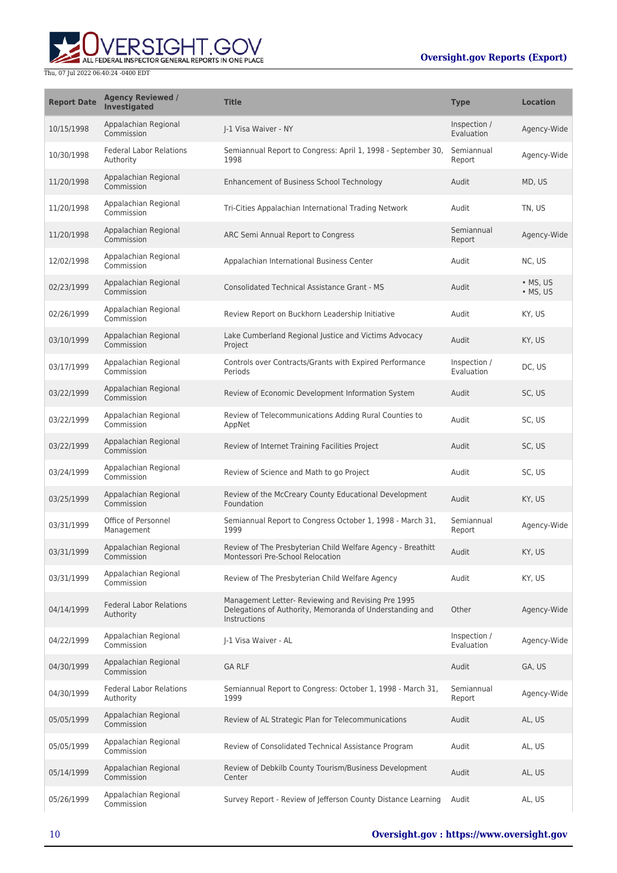# **WERSIGHT.GOV**

| <b>Report Date</b> | <b>Agency Reviewed /</b><br><b>Investigated</b> | <b>Title</b>                                                                                                                   | <b>Type</b>                | <b>Location</b>              |
|--------------------|-------------------------------------------------|--------------------------------------------------------------------------------------------------------------------------------|----------------------------|------------------------------|
| 10/15/1998         | Appalachian Regional<br>Commission              | I-1 Visa Waiver - NY                                                                                                           | Inspection /<br>Evaluation | Agency-Wide                  |
| 10/30/1998         | <b>Federal Labor Relations</b><br>Authority     | Semiannual Report to Congress: April 1, 1998 - September 30,<br>1998                                                           | Semiannual<br>Report       | Agency-Wide                  |
| 11/20/1998         | Appalachian Regional<br>Commission              | Enhancement of Business School Technology                                                                                      | Audit                      | MD, US                       |
| 11/20/1998         | Appalachian Regional<br>Commission              | Tri-Cities Appalachian International Trading Network                                                                           | Audit                      | TN, US                       |
| 11/20/1998         | Appalachian Regional<br>Commission              | ARC Semi Annual Report to Congress                                                                                             | Semiannual<br>Report       | Agency-Wide                  |
| 12/02/1998         | Appalachian Regional<br>Commission              | Appalachian International Business Center                                                                                      | Audit                      | NC, US                       |
| 02/23/1999         | Appalachian Regional<br>Commission              | <b>Consolidated Technical Assistance Grant - MS</b>                                                                            | Audit                      | $\bullet$ MS, US<br>• MS, US |
| 02/26/1999         | Appalachian Regional<br>Commission              | Review Report on Buckhorn Leadership Initiative                                                                                | Audit                      | KY, US                       |
| 03/10/1999         | Appalachian Regional<br>Commission              | Lake Cumberland Regional Justice and Victims Advocacy<br>Project                                                               | Audit                      | KY, US                       |
| 03/17/1999         | Appalachian Regional<br>Commission              | Controls over Contracts/Grants with Expired Performance<br>Periods                                                             | Inspection /<br>Evaluation | DC, US                       |
| 03/22/1999         | Appalachian Regional<br>Commission              | Review of Economic Development Information System                                                                              | Audit                      | SC, US                       |
| 03/22/1999         | Appalachian Regional<br>Commission              | Review of Telecommunications Adding Rural Counties to<br>AppNet                                                                | Audit                      | SC, US                       |
| 03/22/1999         | Appalachian Regional<br>Commission              | Review of Internet Training Facilities Project                                                                                 | Audit                      | SC, US                       |
| 03/24/1999         | Appalachian Regional<br>Commission              | Review of Science and Math to go Project                                                                                       | Audit                      | SC, US                       |
| 03/25/1999         | Appalachian Regional<br>Commission              | Review of the McCreary County Educational Development<br>Foundation                                                            | Audit                      | KY, US                       |
| 03/31/1999         | Office of Personnel<br>Management               | Semiannual Report to Congress October 1, 1998 - March 31,<br>1999                                                              | Semiannual<br>Report       | Agency-Wide                  |
| 03/31/1999         | Appalachian Regional<br>Commission              | Review of The Presbyterian Child Welfare Agency - Breathitt<br>Montessori Pre-School Relocation                                | Audit                      | KY, US                       |
| 03/31/1999         | Appalachian Regional<br>Commission              | Review of The Presbyterian Child Welfare Agency                                                                                | Audit                      | KY, US                       |
| 04/14/1999         | <b>Federal Labor Relations</b><br>Authority     | Management Letter- Reviewing and Revising Pre 1995<br>Delegations of Authority, Memoranda of Understanding and<br>Instructions | Other                      | Agency-Wide                  |
| 04/22/1999         | Appalachian Regional<br>Commission              | J-1 Visa Waiver - AL                                                                                                           | Inspection /<br>Evaluation | Agency-Wide                  |
| 04/30/1999         | Appalachian Regional<br>Commission              | <b>GA RLF</b>                                                                                                                  | Audit                      | GA, US                       |
| 04/30/1999         | <b>Federal Labor Relations</b><br>Authority     | Semiannual Report to Congress: October 1, 1998 - March 31,<br>1999                                                             | Semiannual<br>Report       | Agency-Wide                  |
| 05/05/1999         | Appalachian Regional<br>Commission              | Review of AL Strategic Plan for Telecommunications                                                                             | Audit                      | AL, US                       |
| 05/05/1999         | Appalachian Regional<br>Commission              | Review of Consolidated Technical Assistance Program                                                                            | Audit                      | AL, US                       |
| 05/14/1999         | Appalachian Regional<br>Commission              | Review of Debkilb County Tourism/Business Development<br>Center                                                                | Audit                      | AL, US                       |
| 05/26/1999         | Appalachian Regional<br>Commission              | Survey Report - Review of Jefferson County Distance Learning                                                                   | Audit                      | AL, US                       |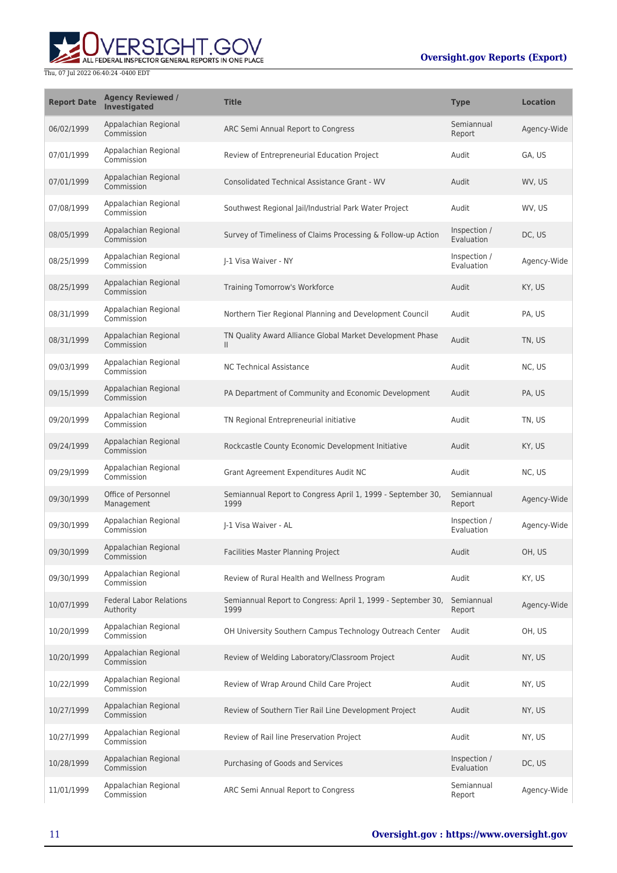

| <b>Report Date</b> | <b>Agency Reviewed /</b><br>Investigated    | <b>Title</b>                                                              | <b>Type</b>                | <b>Location</b> |
|--------------------|---------------------------------------------|---------------------------------------------------------------------------|----------------------------|-----------------|
| 06/02/1999         | Appalachian Regional<br>Commission          | ARC Semi Annual Report to Congress                                        | Semiannual<br>Report       | Agency-Wide     |
| 07/01/1999         | Appalachian Regional<br>Commission          | Review of Entrepreneurial Education Project                               | Audit                      | GA. US          |
| 07/01/1999         | Appalachian Regional<br>Commission          | <b>Consolidated Technical Assistance Grant - WV</b>                       | Audit                      | WV, US          |
| 07/08/1999         | Appalachian Regional<br>Commission          | Southwest Regional Jail/Industrial Park Water Project                     | Audit                      | WV, US          |
| 08/05/1999         | Appalachian Regional<br>Commission          | Survey of Timeliness of Claims Processing & Follow-up Action              | Inspection /<br>Evaluation | DC, US          |
| 08/25/1999         | Appalachian Regional<br>Commission          | I-1 Visa Waiver - NY                                                      | Inspection /<br>Evaluation | Agency-Wide     |
| 08/25/1999         | Appalachian Regional<br>Commission          | Training Tomorrow's Workforce                                             | Audit                      | KY, US          |
| 08/31/1999         | Appalachian Regional<br>Commission          | Northern Tier Regional Planning and Development Council                   | Audit                      | PA, US          |
| 08/31/1999         | Appalachian Regional<br>Commission          | TN Quality Award Alliance Global Market Development Phase<br>$\mathbf{H}$ | Audit                      | TN, US          |
| 09/03/1999         | Appalachian Regional<br>Commission          | <b>NC Technical Assistance</b>                                            | Audit                      | NC, US          |
| 09/15/1999         | Appalachian Regional<br>Commission          | PA Department of Community and Economic Development                       | Audit                      | PA, US          |
| 09/20/1999         | Appalachian Regional<br>Commission          | TN Regional Entrepreneurial initiative                                    | Audit                      | TN, US          |
| 09/24/1999         | Appalachian Regional<br>Commission          | Rockcastle County Economic Development Initiative                         | Audit                      | KY, US          |
| 09/29/1999         | Appalachian Regional<br>Commission          | Grant Agreement Expenditures Audit NC                                     | Audit                      | NC, US          |
| 09/30/1999         | Office of Personnel<br>Management           | Semiannual Report to Congress April 1, 1999 - September 30,<br>1999       | Semiannual<br>Report       | Agency-Wide     |
| 09/30/1999         | Appalachian Regional<br>Commission          | I-1 Visa Waiver - AL                                                      | Inspection /<br>Evaluation | Agency-Wide     |
| 09/30/1999         | Appalachian Regional<br>Commission          | Facilities Master Planning Project                                        | Audit                      | OH, US          |
| 09/30/1999         | Appalachian Regional<br>Commission          | Review of Rural Health and Wellness Program                               | Audit                      | KY, US          |
| 10/07/1999         | <b>Federal Labor Relations</b><br>Authority | Semiannual Report to Congress: April 1, 1999 - September 30,<br>1999      | Semiannual<br>Report       | Agency-Wide     |
| 10/20/1999         | Appalachian Regional<br>Commission          | OH University Southern Campus Technology Outreach Center                  | Audit                      | OH, US          |
| 10/20/1999         | Appalachian Regional<br>Commission          | Review of Welding Laboratory/Classroom Project                            | Audit                      | NY, US          |
| 10/22/1999         | Appalachian Regional<br>Commission          | Review of Wrap Around Child Care Project                                  | Audit                      | NY, US          |
| 10/27/1999         | Appalachian Regional<br>Commission          | Review of Southern Tier Rail Line Development Project                     | Audit                      | NY, US          |
| 10/27/1999         | Appalachian Regional<br>Commission          | Review of Rail line Preservation Project                                  | Audit                      | NY, US          |
| 10/28/1999         | Appalachian Regional<br>Commission          | Purchasing of Goods and Services                                          | Inspection /<br>Evaluation | DC, US          |
| 11/01/1999         | Appalachian Regional<br>Commission          | ARC Semi Annual Report to Congress                                        | Semiannual<br>Report       | Agency-Wide     |